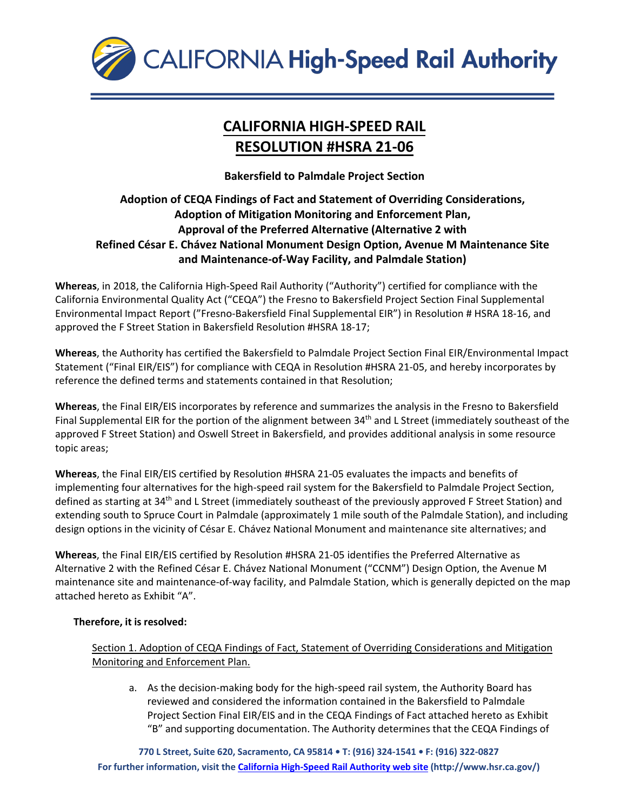

## **CALIFORNIA HIGH-SPEED RAIL RESOLUTION #HSRA 21-06**

**Bakersfield to Palmdale Project Section**

## **Adoption of CEQA Findings of Fact and Statement of Overriding Considerations, Adoption of Mitigation Monitoring and Enforcement Plan, Approval of the Preferred Alternative (Alternative 2 with Refined César E. Chávez National Monument Design Option, Avenue M Maintenance Site and Maintenance-of-Way Facility, and Palmdale Station)**

**Whereas**, in 2018, the California High-Speed Rail Authority ("Authority") certified for compliance with the California Environmental Quality Act ("CEQA") the Fresno to Bakersfield Project Section Final Supplemental Environmental Impact Report ("Fresno-Bakersfield Final Supplemental EIR") in Resolution # HSRA 18-16, and approved the F Street Station in Bakersfield Resolution #HSRA 18-17;

**Whereas**, the Authority has certified the Bakersfield to Palmdale Project Section Final EIR/Environmental Impact Statement ("Final EIR/EIS") for compliance with CEQA in Resolution #HSRA 21-05, and hereby incorporates by reference the defined terms and statements contained in that Resolution;

**Whereas**, the Final EIR/EIS incorporates by reference and summarizes the analysis in the Fresno to Bakersfield Final Supplemental EIR for the portion of the alignment between 34<sup>th</sup> and L Street (immediately southeast of the approved F Street Station) and Oswell Street in Bakersfield, and provides additional analysis in some resource topic areas;

**Whereas**, the Final EIR/EIS certified by Resolution #HSRA 21-05 evaluates the impacts and benefits of implementing four alternatives for the high-speed rail system for the Bakersfield to Palmdale Project Section, defined as starting at 34<sup>th</sup> and L Street (immediately southeast of the previously approved F Street Station) and extending south to Spruce Court in Palmdale (approximately 1 mile south of the Palmdale Station), and including design options in the vicinity of César E. Chávez National Monument and maintenance site alternatives; and

**Whereas**, the Final EIR/EIS certified by Resolution #HSRA 21-05 identifies the Preferred Alternative as Alternative 2 with the Refined César E. Chávez National Monument ("CCNM") Design Option, the Avenue M maintenance site and maintenance-of-way facility, and Palmdale Station, which is generally depicted on the map attached hereto as Exhibit "A".

## **Therefore, it is resolved:**

Section 1. Adoption of CEQA Findings of Fact, Statement of Overriding Considerations and Mitigation Monitoring and Enforcement Plan.

a. As the decision-making body for the high-speed rail system, the Authority Board has reviewed and considered the information contained in the Bakersfield to Palmdale Project Section Final EIR/EIS and in the CEQA Findings of Fact attached hereto as Exhibit "B" and supporting documentation. The Authority determines that the CEQA Findings of

**770 L Street, Suite 620, Sacramento, CA 95814 • T: (916) 324-1541 • F: (916) 322-0827 For further information, visit the [California High-Speed Rail Authority](http://www.hsr.ca.gov/) web site [\(http://www.hsr.ca.gov/\)](http://www.hsr.ca.gov/))**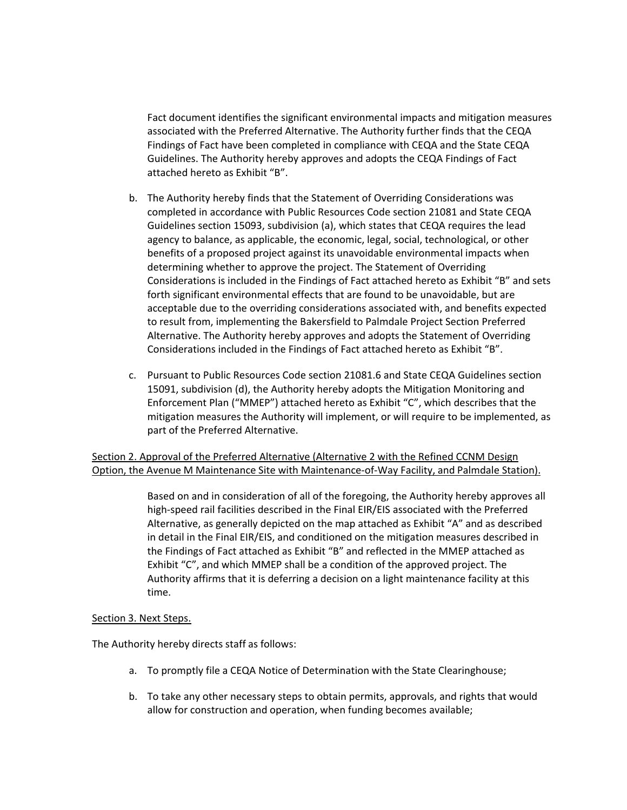Fact document identifies the significant environmental impacts and mitigation measures associated with the Preferred Alternative. The Authority further finds that the CEQA Findings of Fact have been completed in compliance with CEQA and the State CEQA Guidelines. The Authority hereby approves and adopts the CEQA Findings of Fact attached hereto as Exhibit "B".

- b. The Authority hereby finds that the Statement of Overriding Considerations was completed in accordance with Public Resources Code section 21081 and State CEQA Guidelines section 15093, subdivision (a), which states that CEQA requires the lead agency to balance, as applicable, the economic, legal, social, technological, or other benefits of a proposed project against its unavoidable environmental impacts when determining whether to approve the project. The Statement of Overriding Considerations is included in the Findings of Fact attached hereto as Exhibit "B" and sets forth significant environmental effects that are found to be unavoidable, but are acceptable due to the overriding considerations associated with, and benefits expected to result from, implementing the Bakersfield to Palmdale Project Section Preferred Alternative. The Authority hereby approves and adopts the Statement of Overriding Considerations included in the Findings of Fact attached hereto as Exhibit "B".
- c. Pursuant to Public Resources Code section 21081.6 and State CEQA Guidelines section 15091, subdivision (d), the Authority hereby adopts the Mitigation Monitoring and Enforcement Plan ("MMEP") attached hereto as Exhibit "C", which describes that the mitigation measures the Authority will implement, or will require to be implemented, as part of the Preferred Alternative.

Section 2. Approval of the Preferred Alternative (Alternative 2 with the Refined CCNM Design Option, the Avenue M Maintenance Site with Maintenance-of-Way Facility, and Palmdale Station).

> Based on and in consideration of all of the foregoing, the Authority hereby approves all high-speed rail facilities described in the Final EIR/EIS associated with the Preferred Alternative, as generally depicted on the map attached as Exhibit "A" and as described in detail in the Final EIR/EIS, and conditioned on the mitigation measures described in the Findings of Fact attached as Exhibit "B" and reflected in the MMEP attached as Exhibit "C", and which MMEP shall be a condition of the approved project. The Authority affirms that it is deferring a decision on a light maintenance facility at this time.

## Section 3. Next Steps.

The Authority hereby directs staff as follows:

- a. To promptly file a CEQA Notice of Determination with the State Clearinghouse;
- b. To take any other necessary steps to obtain permits, approvals, and rights that would allow for construction and operation, when funding becomes available;